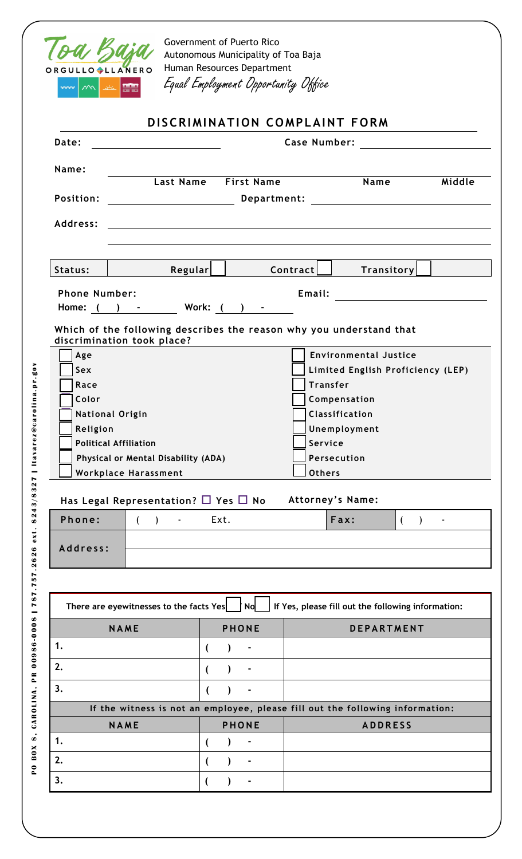

Government of Puerto Rico Autonomous Municipality of Toa Baja Human Resources Department Equal Employment Opportunity Office

| DISCRIMINATION COMPLAINT FORM                                                 |                                                                                        |                                                                                                                                                                                                                                                                                                                                                                                                                                                           |  |  |  |
|-------------------------------------------------------------------------------|----------------------------------------------------------------------------------------|-----------------------------------------------------------------------------------------------------------------------------------------------------------------------------------------------------------------------------------------------------------------------------------------------------------------------------------------------------------------------------------------------------------------------------------------------------------|--|--|--|
|                                                                               |                                                                                        |                                                                                                                                                                                                                                                                                                                                                                                                                                                           |  |  |  |
|                                                                               |                                                                                        | Middle                                                                                                                                                                                                                                                                                                                                                                                                                                                    |  |  |  |
|                                                                               |                                                                                        |                                                                                                                                                                                                                                                                                                                                                                                                                                                           |  |  |  |
| Position:                                                                     |                                                                                        |                                                                                                                                                                                                                                                                                                                                                                                                                                                           |  |  |  |
|                                                                               |                                                                                        |                                                                                                                                                                                                                                                                                                                                                                                                                                                           |  |  |  |
| Regular                                                                       | <b>Transitory</b>                                                                      |                                                                                                                                                                                                                                                                                                                                                                                                                                                           |  |  |  |
| <b>Phone Number:</b>                                                          |                                                                                        |                                                                                                                                                                                                                                                                                                                                                                                                                                                           |  |  |  |
|                                                                               |                                                                                        |                                                                                                                                                                                                                                                                                                                                                                                                                                                           |  |  |  |
|                                                                               |                                                                                        |                                                                                                                                                                                                                                                                                                                                                                                                                                                           |  |  |  |
|                                                                               |                                                                                        |                                                                                                                                                                                                                                                                                                                                                                                                                                                           |  |  |  |
|                                                                               |                                                                                        |                                                                                                                                                                                                                                                                                                                                                                                                                                                           |  |  |  |
|                                                                               | Compensation                                                                           |                                                                                                                                                                                                                                                                                                                                                                                                                                                           |  |  |  |
|                                                                               | <b>Classification</b>                                                                  |                                                                                                                                                                                                                                                                                                                                                                                                                                                           |  |  |  |
| Unemployment                                                                  |                                                                                        |                                                                                                                                                                                                                                                                                                                                                                                                                                                           |  |  |  |
|                                                                               | Service                                                                                |                                                                                                                                                                                                                                                                                                                                                                                                                                                           |  |  |  |
|                                                                               |                                                                                        |                                                                                                                                                                                                                                                                                                                                                                                                                                                           |  |  |  |
| <b>Workplace Harassment</b><br>Has Legal Representation? $\Box$ Yes $\Box$ No |                                                                                        |                                                                                                                                                                                                                                                                                                                                                                                                                                                           |  |  |  |
|                                                                               |                                                                                        |                                                                                                                                                                                                                                                                                                                                                                                                                                                           |  |  |  |
| Ext.                                                                          | Attorney's Name:<br>Fax:                                                               | (<br>$\blacksquare$                                                                                                                                                                                                                                                                                                                                                                                                                                       |  |  |  |
|                                                                               |                                                                                        |                                                                                                                                                                                                                                                                                                                                                                                                                                                           |  |  |  |
|                                                                               |                                                                                        |                                                                                                                                                                                                                                                                                                                                                                                                                                                           |  |  |  |
|                                                                               |                                                                                        |                                                                                                                                                                                                                                                                                                                                                                                                                                                           |  |  |  |
| No<br>There are eyewitnesses to the facts Yes                                 | If Yes, please fill out the following information:                                     |                                                                                                                                                                                                                                                                                                                                                                                                                                                           |  |  |  |
| <b>PHONE</b>                                                                  | <b>DEPARTMENT</b>                                                                      |                                                                                                                                                                                                                                                                                                                                                                                                                                                           |  |  |  |
|                                                                               |                                                                                        |                                                                                                                                                                                                                                                                                                                                                                                                                                                           |  |  |  |
|                                                                               |                                                                                        |                                                                                                                                                                                                                                                                                                                                                                                                                                                           |  |  |  |
|                                                                               |                                                                                        |                                                                                                                                                                                                                                                                                                                                                                                                                                                           |  |  |  |
| If the witness is not an employee, please fill out the following information: |                                                                                        |                                                                                                                                                                                                                                                                                                                                                                                                                                                           |  |  |  |
| <b>PHONE</b>                                                                  | <b>ADDRESS</b>                                                                         |                                                                                                                                                                                                                                                                                                                                                                                                                                                           |  |  |  |
|                                                                               |                                                                                        |                                                                                                                                                                                                                                                                                                                                                                                                                                                           |  |  |  |
|                                                                               | Last Name First Name<br>Home: ( ) - Work: ( ) -<br>Physical or Mental Disability (ADA) | Name<br><b>Example 20</b> Department: <b>Constitution of the Constitution of the Constitution of the Constitution of the Constitution of the Constitution of the Constitution of the Constitution of the Constitution of the Constitution of </b><br>Contract    <br>Which of the following describes the reason why you understand that<br><b>Environmental Justice</b><br>Limited English Proficiency (LEP)<br><b>Transfer</b><br>Persecution<br>Others |  |  |  |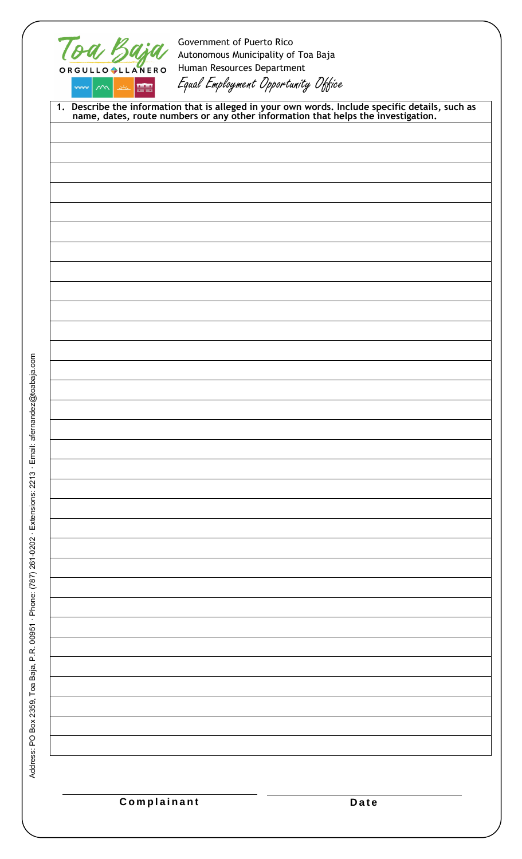|                    | Toa Baja<br>ORGULLO LLANERO | Government of Puerto Rico<br>Autonomous Municipality of Toa Baja<br>Human Resources Department |                                                                                                                                                                                    |
|--------------------|-----------------------------|------------------------------------------------------------------------------------------------|------------------------------------------------------------------------------------------------------------------------------------------------------------------------------------|
| $2\sqrt{2}$<br>∞∞≈ | 瞎                           | Equal Employment Opportunity Office                                                            |                                                                                                                                                                                    |
|                    |                             |                                                                                                | 1. Describe the information that is alleged in your own words. Include specific details, such as name, dates, route numbers or any other information that helps the investigation. |
|                    |                             |                                                                                                |                                                                                                                                                                                    |
|                    |                             |                                                                                                |                                                                                                                                                                                    |
|                    |                             |                                                                                                |                                                                                                                                                                                    |
|                    |                             |                                                                                                |                                                                                                                                                                                    |
|                    |                             |                                                                                                |                                                                                                                                                                                    |
|                    |                             |                                                                                                |                                                                                                                                                                                    |
|                    |                             |                                                                                                |                                                                                                                                                                                    |
|                    |                             |                                                                                                |                                                                                                                                                                                    |
|                    |                             |                                                                                                |                                                                                                                                                                                    |
|                    |                             |                                                                                                |                                                                                                                                                                                    |
|                    |                             |                                                                                                |                                                                                                                                                                                    |
|                    |                             |                                                                                                |                                                                                                                                                                                    |
|                    |                             |                                                                                                |                                                                                                                                                                                    |
|                    |                             |                                                                                                |                                                                                                                                                                                    |
|                    |                             |                                                                                                |                                                                                                                                                                                    |
|                    |                             |                                                                                                |                                                                                                                                                                                    |
|                    |                             |                                                                                                |                                                                                                                                                                                    |
|                    |                             |                                                                                                |                                                                                                                                                                                    |
|                    |                             |                                                                                                |                                                                                                                                                                                    |
|                    |                             |                                                                                                |                                                                                                                                                                                    |
|                    |                             |                                                                                                |                                                                                                                                                                                    |
|                    |                             |                                                                                                |                                                                                                                                                                                    |
|                    |                             |                                                                                                |                                                                                                                                                                                    |
|                    |                             |                                                                                                |                                                                                                                                                                                    |
|                    | Complainant                 |                                                                                                |                                                                                                                                                                                    |